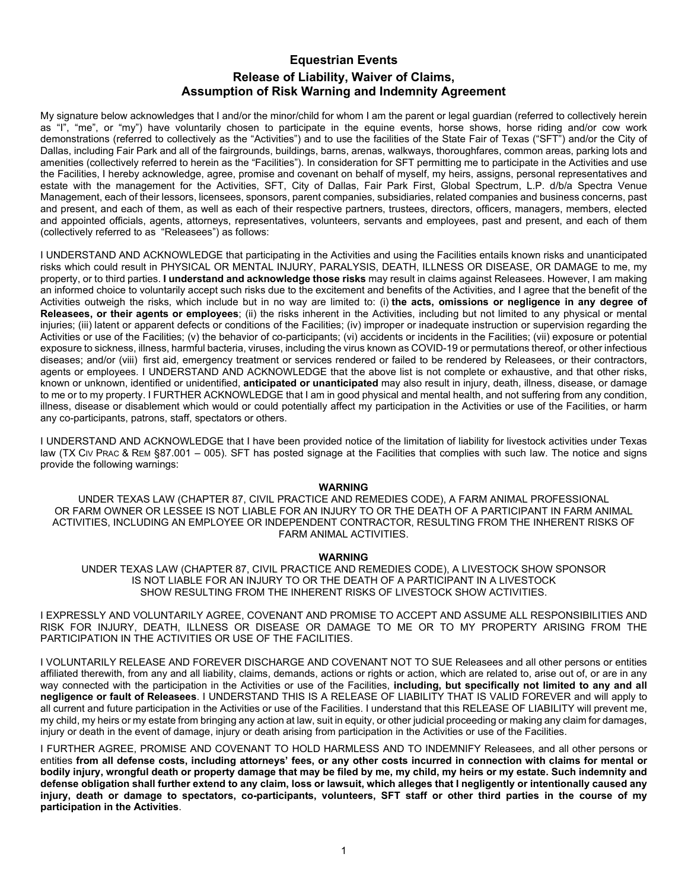## **Equestrian Events Release of Liability, Waiver of Claims, Assumption of Risk Warning and Indemnity Agreement**

My signature below acknowledges that I and/or the minor/child for whom I am the parent or legal guardian (referred to collectively herein as "I", "me", or "my") have voluntarily chosen to participate in the equine events, horse shows, horse riding and/or cow work demonstrations (referred to collectively as the "Activities") and to use the facilities of the State Fair of Texas ("SFT") and/or the City of Dallas, including Fair Park and all of the fairgrounds, buildings, barns, arenas, walkways, thoroughfares, common areas, parking lots and amenities (collectively referred to herein as the "Facilities"). In consideration for SFT permitting me to participate in the Activities and use the Facilities, I hereby acknowledge, agree, promise and covenant on behalf of myself, my heirs, assigns, personal representatives and estate with the management for the Activities, SFT, City of Dallas, Fair Park First, Global Spectrum, L.P. d/b/a Spectra Venue Management, each of their lessors, licensees, sponsors, parent companies, subsidiaries, related companies and business concerns, past and present, and each of them, as well as each of their respective partners, trustees, directors, officers, managers, members, elected and appointed officials, agents, attorneys, representatives, volunteers, servants and employees, past and present, and each of them (collectively referred to as "Releasees") as follows:

I UNDERSTAND AND ACKNOWLEDGE that participating in the Activities and using the Facilities entails known risks and unanticipated risks which could result in PHYSICAL OR MENTAL INJURY, PARALYSIS, DEATH, ILLNESS OR DISEASE, OR DAMAGE to me, my property, or to third parties. **I understand and acknowledge those risks** may result in claims against Releasees. However, I am making an informed choice to voluntarily accept such risks due to the excitement and benefits of the Activities, and I agree that the benefit of the Activities outweigh the risks, which include but in no way are limited to: (i) **the acts, omissions or negligence in any degree of Releasees, or their agents or employees**; (ii) the risks inherent in the Activities, including but not limited to any physical or mental injuries; (iii) latent or apparent defects or conditions of the Facilities; (iv) improper or inadequate instruction or supervision regarding the Activities or use of the Facilities; (v) the behavior of co-participants; (vi) accidents or incidents in the Facilities; (vii) exposure or potential exposure to sickness, illness, harmful bacteria, viruses, including the virus known as COVID-19 or permutations thereof, or other infectious diseases; and/or (viii) first aid, emergency treatment or services rendered or failed to be rendered by Releasees, or their contractors, agents or employees. I UNDERSTAND AND ACKNOWLEDGE that the above list is not complete or exhaustive, and that other risks, known or unknown, identified or unidentified, **anticipated or unanticipated** may also result in injury, death, illness, disease, or damage to me or to my property. I FURTHER ACKNOWLEDGE that I am in good physical and mental health, and not suffering from any condition, illness, disease or disablement which would or could potentially affect my participation in the Activities or use of the Facilities, or harm any co-participants, patrons, staff, spectators or others.

I UNDERSTAND AND ACKNOWLEDGE that I have been provided notice of the limitation of liability for livestock activities under Texas law (TX CIV PRAC & REM §87.001 – 005). SFT has posted signage at the Facilities that complies with such law. The notice and signs provide the following warnings:

## **WARNING**

UNDER TEXAS LAW (CHAPTER 87, CIVIL PRACTICE AND REMEDIES CODE), A FARM ANIMAL PROFESSIONAL OR FARM OWNER OR LESSEE IS NOT LIABLE FOR AN INJURY TO OR THE DEATH OF A PARTICIPANT IN FARM ANIMAL ACTIVITIES, INCLUDING AN EMPLOYEE OR INDEPENDENT CONTRACTOR, RESULTING FROM THE INHERENT RISKS OF FARM ANIMAL ACTIVITIES.

## **WARNING**

UNDER TEXAS LAW (CHAPTER 87, CIVIL PRACTICE AND REMEDIES CODE), A LIVESTOCK SHOW SPONSOR IS NOT LIABLE FOR AN INJURY TO OR THE DEATH OF A PARTICIPANT IN A LIVESTOCK SHOW RESULTING FROM THE INHERENT RISKS OF LIVESTOCK SHOW ACTIVITIES.

I EXPRESSLY AND VOLUNTARILY AGREE, COVENANT AND PROMISE TO ACCEPT AND ASSUME ALL RESPONSIBILITIES AND RISK FOR INJURY, DEATH, ILLNESS OR DISEASE OR DAMAGE TO ME OR TO MY PROPERTY ARISING FROM THE PARTICIPATION IN THE ACTIVITIES OR USE OF THE FACILITIES.

I VOLUNTARILY RELEASE AND FOREVER DISCHARGE AND COVENANT NOT TO SUE Releasees and all other persons or entities affiliated therewith, from any and all liability, claims, demands, actions or rights or action, which are related to, arise out of, or are in any way connected with the participation in the Activities or use of the Facilities, **including, but specifically not limited to any and all negligence or fault of Releasees**. I UNDERSTAND THIS IS A RELEASE OF LIABILITY THAT IS VALID FOREVER and will apply to all current and future participation in the Activities or use of the Facilities. I understand that this RELEASE OF LIABILITY will prevent me, my child, my heirs or my estate from bringing any action at law, suit in equity, or other judicial proceeding or making any claim for damages, injury or death in the event of damage, injury or death arising from participation in the Activities or use of the Facilities.

I FURTHER AGREE, PROMISE AND COVENANT TO HOLD HARMLESS AND TO INDEMNIFY Releasees, and all other persons or entities **from all defense costs, including attorneys' fees, or any other costs incurred in connection with claims for mental or bodily injury, wrongful death or property damage that may be filed by me, my child, my heirs or my estate. Such indemnity and defense obligation shall further extend to any claim, loss or lawsuit, which alleges that I negligently or intentionally caused any injury, death or damage to spectators, co-participants, volunteers, SFT staff or other third parties in the course of my participation in the Activities**.